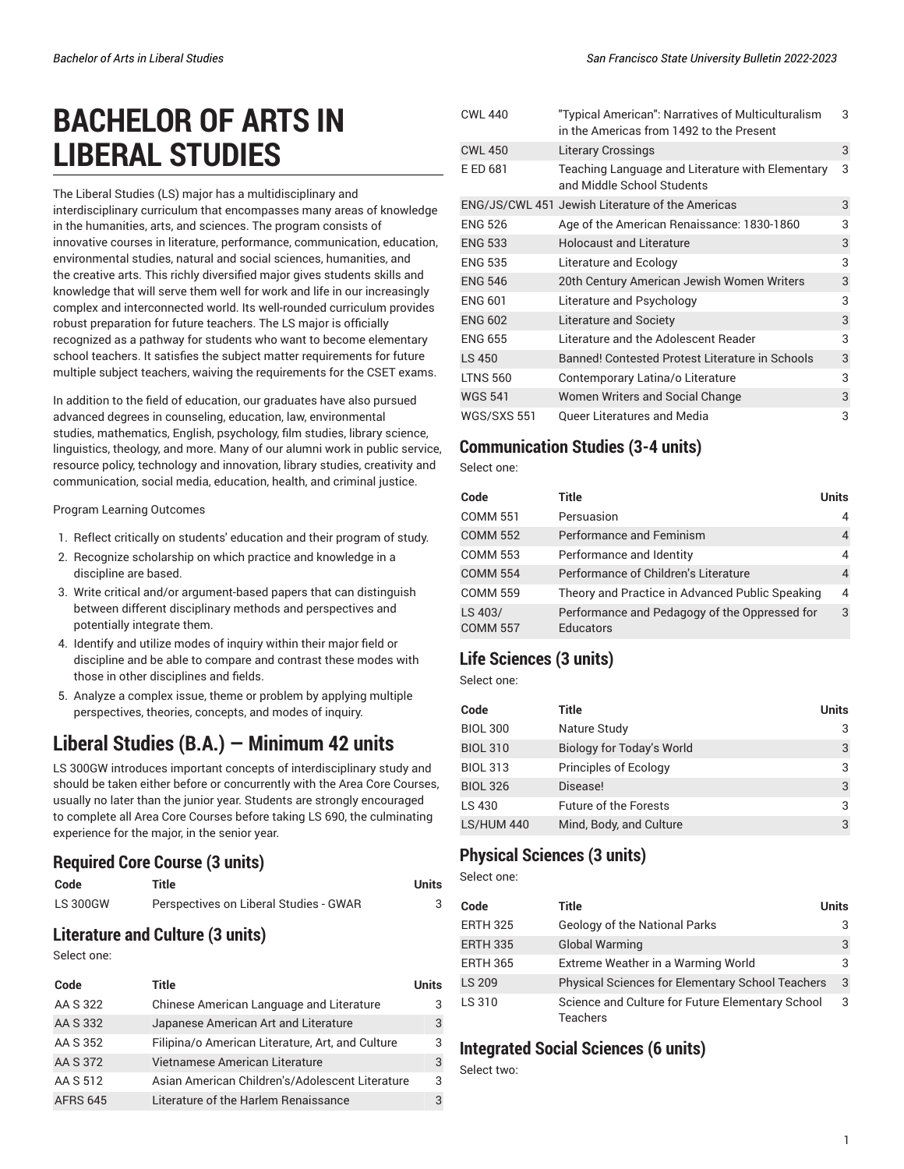# **BACHELOR OF ARTS IN LIBERAL STUDIES**

The Liberal Studies (LS) major has a multidisciplinary and interdisciplinary curriculum that encompasses many areas of knowledge in the humanities, arts, and sciences. The program consists of innovative courses in literature, performance, communication, education, environmental studies, natural and social sciences, humanities, and the creative arts. This richly diversified major gives students skills and knowledge that will serve them well for work and life in our increasingly complex and interconnected world. Its well-rounded curriculum provides robust preparation for future teachers. The LS major is officially recognized as a pathway for students who want to become elementary school teachers. It satisfies the subject matter requirements for future multiple subject teachers, waiving the requirements for the CSET exams.

In addition to the field of education, our graduates have also pursued advanced degrees in counseling, education, law, environmental studies, mathematics, English, psychology, film studies, library science, linguistics, theology, and more. Many of our alumni work in public service, resource policy, technology and innovation, library studies, creativity and communication, social media, education, health, and criminal justice.

Program Learning Outcomes

- 1. Reflect critically on students' education and their program of study.
- 2. Recognize scholarship on which practice and knowledge in a discipline are based.
- 3. Write critical and/or argument-based papers that can distinguish between different disciplinary methods and perspectives and potentially integrate them.
- 4. Identify and utilize modes of inquiry within their major field or discipline and be able to compare and contrast these modes with those in other disciplines and fields.
- 5. Analyze a complex issue, theme or problem by applying multiple perspectives, theories, concepts, and modes of inquiry.

# **Liberal Studies (B.A.) — Minimum 42 units**

LS 300GW introduces important concepts of interdisciplinary study and should be taken either before or concurrently with the Area Core Courses, usually no later than the junior year. Students are strongly encouraged to complete all Area Core Courses before taking LS 690, the culminating experience for the major, in the senior year.

#### **Required Core Course (3 units)**

| Code            | Title                                  | Units |
|-----------------|----------------------------------------|-------|
| <b>LS 300GW</b> | Perspectives on Liberal Studies - GWAR |       |

## **Literature and Culture (3 units)**

Select one:

| Code            | Title                                            | <b>Units</b> |
|-----------------|--------------------------------------------------|--------------|
| AA S 322        | Chinese American Language and Literature         | 3            |
| AA S 332        | Japanese American Art and Literature             | 3            |
| AA S 352        | Filipina/o American Literature, Art, and Culture | 3            |
| AA S 372        | Vietnamese American Literature                   | 3            |
| AA S 512        | Asian American Children's/Adolescent Literature  | 3            |
| <b>AFRS 645</b> | Literature of the Harlem Renaissance             | 3            |

| <b>CWL 440</b>     | "Typical American": Narratives of Multiculturalism<br>in the Americas from 1492 to the Present | 3 |
|--------------------|------------------------------------------------------------------------------------------------|---|
| <b>CWL 450</b>     | <b>Literary Crossings</b>                                                                      | 3 |
| E ED 681           | Teaching Language and Literature with Elementary<br>and Middle School Students                 | 3 |
|                    | ENG/JS/CWL 451 Jewish Literature of the Americas                                               | 3 |
| <b>ENG 526</b>     | Age of the American Renaissance: 1830-1860                                                     | 3 |
| <b>ENG 533</b>     | <b>Holocaust and Literature</b>                                                                | 3 |
| <b>ENG 535</b>     | Literature and Ecology                                                                         | 3 |
| <b>ENG 546</b>     | 20th Century American Jewish Women Writers                                                     | 3 |
| <b>ENG 601</b>     | Literature and Psychology                                                                      | 3 |
| <b>ENG 602</b>     | Literature and Society                                                                         | 3 |
| <b>ENG 655</b>     | Literature and the Adolescent Reader                                                           | 3 |
| LS 450             | Banned! Contested Protest Literature in Schools                                                | 3 |
| <b>LTNS 560</b>    | Contemporary Latina/o Literature                                                               | 3 |
| <b>WGS 541</b>     | Women Writers and Social Change                                                                | 3 |
| <b>WGS/SXS 551</b> | <b>Queer Literatures and Media</b>                                                             | 3 |

#### **Communication Studies (3-4 units)**

Select one:

| Code                       | Title                                                             | <b>Units</b>   |
|----------------------------|-------------------------------------------------------------------|----------------|
| <b>COMM 551</b>            | Persuasion                                                        | 4              |
| <b>COMM 552</b>            | Performance and Feminism                                          | $\overline{4}$ |
| <b>COMM 553</b>            | Performance and Identity                                          | 4              |
| <b>COMM 554</b>            | Performance of Children's Literature                              | 4              |
| <b>COMM 559</b>            | Theory and Practice in Advanced Public Speaking                   | 4              |
| LS 403/<br><b>COMM 557</b> | Performance and Pedagogy of the Oppressed for<br><b>Educators</b> | 3              |

## **Life Sciences (3 units)**

Select one:

| Code              | Title                        | <b>Units</b> |
|-------------------|------------------------------|--------------|
| <b>BIOL 300</b>   | Nature Study                 | 3            |
| <b>BIOL 310</b>   | Biology for Today's World    | 3            |
| <b>BIOL 313</b>   | Principles of Ecology        | 3            |
| <b>BIOL 326</b>   | Disease!                     | 3            |
| LS 430            | <b>Future of the Forests</b> | 3            |
| <b>LS/HUM 440</b> | Mind, Body, and Culture      | 3            |

## **Physical Sciences (3 units)**

Select one:

| Code            | Title                                                        | <b>Units</b> |
|-----------------|--------------------------------------------------------------|--------------|
| <b>ERTH 325</b> | Geology of the National Parks                                | 3            |
| <b>ERTH 335</b> | <b>Global Warming</b>                                        | 3            |
| <b>ERTH 365</b> | Extreme Weather in a Warming World                           | 3            |
| LS 209          | <b>Physical Sciences for Elementary School Teachers</b>      | 3            |
| LS 310          | Science and Culture for Future Elementary School<br>Teachers | 3            |

#### **Integrated Social Sciences (6 units)**

Select two: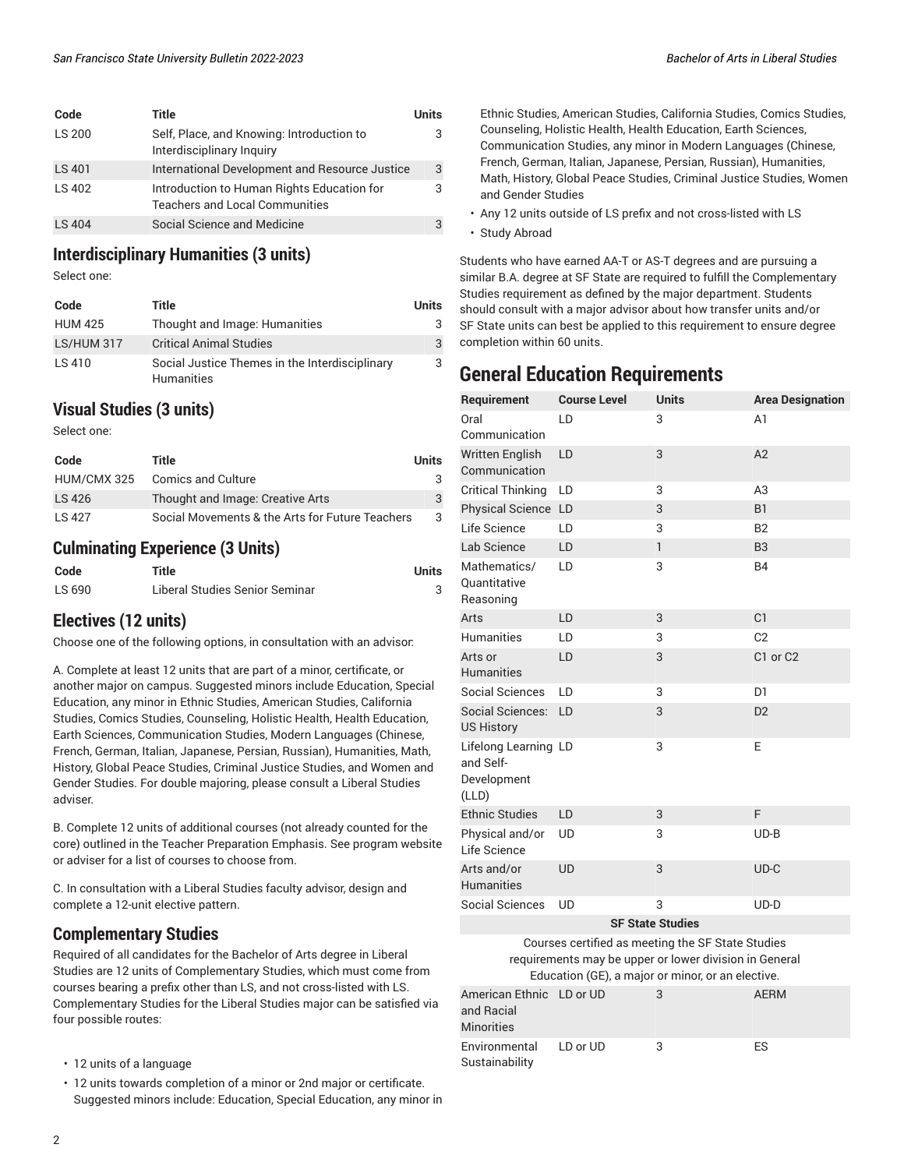| Code          | Title                                                                               | Units |
|---------------|-------------------------------------------------------------------------------------|-------|
| LS 200        | Self, Place, and Knowing: Introduction to<br>Interdisciplinary Inquiry              | 3     |
| <b>LS 401</b> | International Development and Resource Justice                                      | 3     |
| LS 402        | Introduction to Human Rights Education for<br><b>Teachers and Local Communities</b> | 3     |
| LS 404        | Social Science and Medicine                                                         |       |

#### **Interdisciplinary Humanities (3 units)**

Select one:

| Code           | Title                                                        | <b>Units</b> |
|----------------|--------------------------------------------------------------|--------------|
| <b>HUM 425</b> | Thought and Image: Humanities                                | 3            |
| LS/HUM 317     | <b>Critical Animal Studies</b>                               | 3            |
| LS 410         | Social Justice Themes in the Interdisciplinary<br>Humanities | 3            |

#### **Visual Studies (3 units)**

Select one:

| Code        | Title                                           | <b>Units</b> |
|-------------|-------------------------------------------------|--------------|
| HUM/CMX 325 | <b>Comics and Culture</b>                       |              |
| LS 426      | Thought and Image: Creative Arts                |              |
| IS 427      | Social Movements & the Arts for Future Teachers |              |

#### **Culminating Experience (3 Units)**

| Code   | Title                          | Units |
|--------|--------------------------------|-------|
| LS 690 | Liberal Studies Senior Seminar |       |

#### **Electives (12 units)**

Choose one of the following options, in consultation with an advisor:

A. Complete at least 12 units that are part of a minor, certificate, or another major on campus. Suggested minors include Education, Special Education, any minor in Ethnic Studies, American Studies, California Studies, Comics Studies, Counseling, Holistic Health, Health Education, Earth Sciences, Communication Studies, Modern Languages (Chinese, French, German, Italian, Japanese, Persian, Russian), Humanities, Math, History, Global Peace Studies, Criminal Justice Studies, and Women and Gender Studies. For double majoring, please consult a Liberal Studies adviser.

B. Complete 12 units of additional courses (not already counted for the core) outlined in the Teacher Preparation Emphasis. See program website or adviser for a list of courses to choose from.

C. In consultation with a Liberal Studies faculty advisor, design and complete a 12-unit elective pattern.

#### **Complementary Studies**

Required of all candidates for the Bachelor of Arts degree in Liberal Studies are 12 units of Complementary Studies, which must come from courses bearing a prefix other than LS, and not cross-listed with LS. Complementary Studies for the Liberal Studies major can be satisfied via four possible routes:

- 12 units of a language
- 12 units towards completion of a minor or 2nd major or certificate. Suggested minors include: Education, Special Education, any minor in
- Ethnic Studies, American Studies, California Studies, Comics Studies, Counseling, Holistic Health, Health Education, Earth Sciences, Communication Studies, any minor in Modern Languages (Chinese, French, German, Italian, Japanese, Persian, Russian), Humanities, Math, History, Global Peace Studies, Criminal Justice Studies, Women and Gender Studies
- Any 12 units outside of LS prefix and not cross-listed with LS
- Study Abroad

[Sustainability](/undergraduate-education/sf-state-studies/es/)

Students who have earned AA-T or AS-T degrees and are pursuing a similar B.A. degree at SF State are required to fulfill the Complementary Studies requirement as defined by the major department. Students should consult with a major advisor about how transfer units and/or SF State units can best be applied to this requirement to ensure degree completion within 60 units.

## **General Education Requirements**

| Requirement                                                                                                                                                      | <b>Course Level</b> | Units                   | <b>Area Designation</b>          |
|------------------------------------------------------------------------------------------------------------------------------------------------------------------|---------------------|-------------------------|----------------------------------|
| Oral                                                                                                                                                             | LD                  | 3                       | A <sub>1</sub>                   |
| Communication                                                                                                                                                    |                     |                         |                                  |
| <b>Written English</b><br>Communication                                                                                                                          | LD                  | 3                       | A2                               |
| <b>Critical Thinking</b>                                                                                                                                         | LD                  | 3                       | A3                               |
| Physical Science LD                                                                                                                                              |                     | 3                       | <b>B1</b>                        |
| Life Science                                                                                                                                                     | LD                  | 3                       | B <sub>2</sub>                   |
| Lab Science                                                                                                                                                      | LD                  | 1                       | B <sub>3</sub>                   |
| Mathematics/<br>Quantitative<br>Reasoning                                                                                                                        | LD                  | 3                       | <b>B4</b>                        |
| Arts                                                                                                                                                             | LD                  | 3                       | C1                               |
| <b>Humanities</b>                                                                                                                                                | LD                  | 3                       | C <sub>2</sub>                   |
| Arts or<br><b>Humanities</b>                                                                                                                                     | LD                  | 3                       | C <sub>1</sub> or C <sub>2</sub> |
| <b>Social Sciences</b>                                                                                                                                           | LD                  | 3                       | D <sub>1</sub>                   |
| Social Sciences:<br><b>US History</b>                                                                                                                            | LD                  | 3                       | D <sub>2</sub>                   |
| Lifelong Learning LD<br>and Self-<br>Development<br>(LLD)                                                                                                        |                     | 3                       | E                                |
| <b>Ethnic Studies</b>                                                                                                                                            | LD                  | 3                       | F                                |
| Physical and/or<br>Life Science                                                                                                                                  | UD                  | 3                       | $UD-B$                           |
| Arts and/or<br><b>Humanities</b>                                                                                                                                 | <b>UD</b>           | 3                       | UD-C                             |
| <b>Social Sciences</b>                                                                                                                                           | UD                  | 3                       | $UD-D$                           |
|                                                                                                                                                                  |                     | <b>SF State Studies</b> |                                  |
| Courses certified as meeting the SF State Studies<br>requirements may be upper or lower division in General<br>Education (GE), a major or minor, or an elective. |                     |                         |                                  |
| American Ethnic<br>and Racial<br><b>Minorities</b>                                                                                                               | LD or UD            | 3                       | <b>AERM</b>                      |
| Environmental                                                                                                                                                    | LD or UD            | 3                       | ES                               |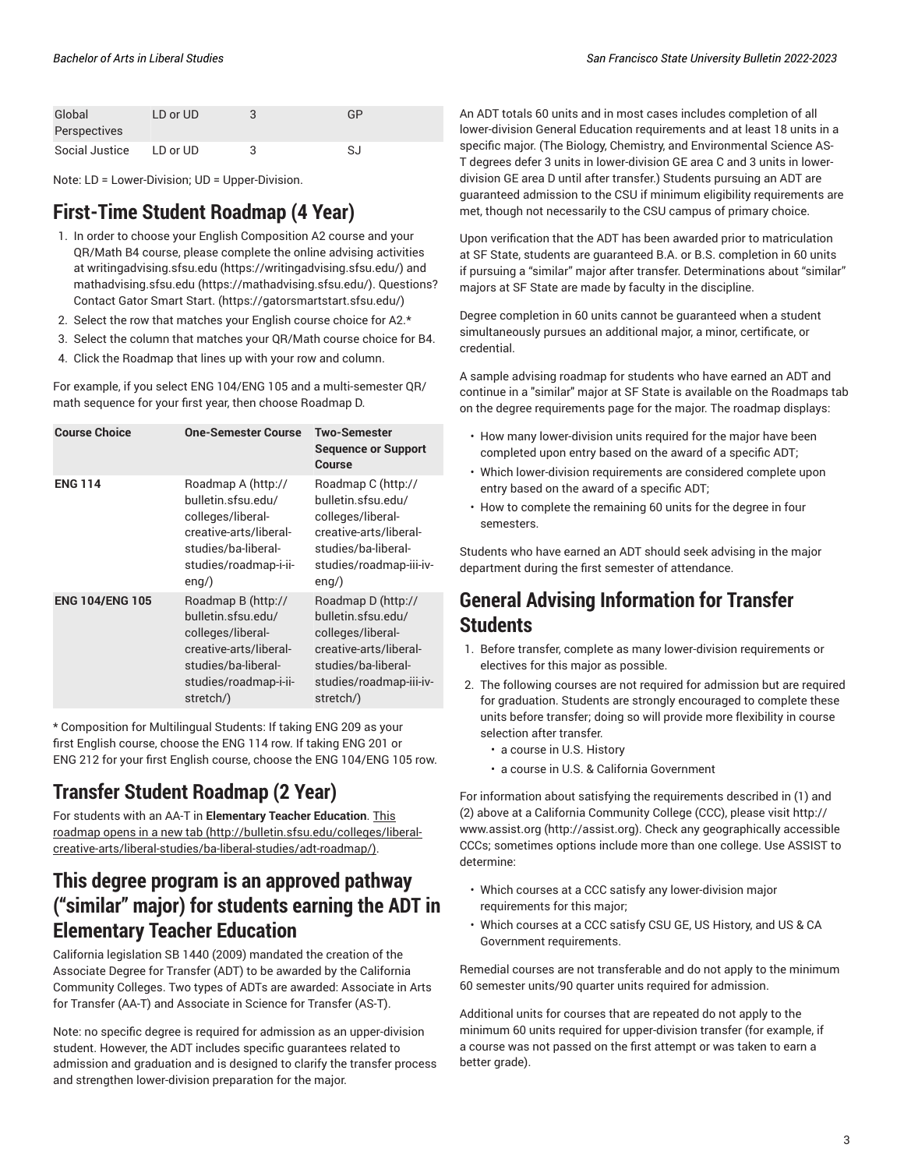| Global         | LD or UD | GP |
|----------------|----------|----|
| Perspectives   |          |    |
| Social Justice | LD or UD | SJ |

Note: LD = Lower-Division; UD = Upper-Division.

## **First-Time Student Roadmap (4 Year)**

- 1. In order to choose your English Composition A2 course and your QR/Math B4 course, please complete the online advising activities at [writingadvising.sfsu.edu](https://writingadvising.sfsu.edu/) ([https://writingadvising.sfsu.edu/\)](https://writingadvising.sfsu.edu/) and [mathadvising.sfsu.edu](https://mathadvising.sfsu.edu/) ([https://mathadvising.sfsu.edu/\)](https://mathadvising.sfsu.edu/). Questions? Contact Gator [Smart](https://gatorsmartstart.sfsu.edu/) Start. ([https://gatorsmartstart.sfsu.edu/\)](https://gatorsmartstart.sfsu.edu/)
- 2. Select the row that matches your English course choice for A2.\*
- 3. Select the column that matches your QR/Math course choice for B4.
- 4. Click the Roadmap that lines up with your row and column.

For example, if you select ENG 104/ENG 105 and a multi-semester QR/ math sequence for your first year, then choose Roadmap D.

| <b>Course Choice</b>   | <b>One-Semester Course</b>                                                                                                                           | Two-Semester<br><b>Sequence or Support</b><br>Course                                                                                                   |
|------------------------|------------------------------------------------------------------------------------------------------------------------------------------------------|--------------------------------------------------------------------------------------------------------------------------------------------------------|
| <b>ENG 114</b>         | Roadmap A (http://<br>bulletin.sfsu.edu/<br>colleges/liberal-<br>creative-arts/liberal-<br>studies/ba-liberal-<br>studies/roadmap-i-ii-<br>$eng$ )   | Roadmap C (http://<br>bulletin.sfsu.edu/<br>colleges/liberal-<br>creative-arts/liberal-<br>studies/ba-liberal-<br>studies/roadmap-iii-iv-<br>$eng$ )   |
| <b>ENG 104/ENG 105</b> | Roadmap B (http://<br>bulletin.sfsu.edu/<br>colleges/liberal-<br>creative-arts/liberal-<br>studies/ba-liberal-<br>studies/roadmap-i-ii-<br>stretch/) | Roadmap D (http://<br>bulletin.sfsu.edu/<br>colleges/liberal-<br>creative-arts/liberal-<br>studies/ba-liberal-<br>studies/roadmap-iii-iv-<br>stretch/) |

\* Composition for Multilingual Students: If taking ENG 209 as your first English course, choose the ENG 114 row. If taking ENG 201 or ENG 212 for your first English course, choose the ENG 104/ENG 105 row.

## **Transfer Student Roadmap (2 Year)**

For students with an AA-T in **Elementary Teacher Education**. [This](http://bulletin.sfsu.edu/colleges/liberal-creative-arts/liberal-studies/ba-liberal-studies/adt-roadmap/) [roadmap](http://bulletin.sfsu.edu/colleges/liberal-creative-arts/liberal-studies/ba-liberal-studies/adt-roadmap/) opens in a new tab [\(http://bulletin.sfsu.edu/colleges/liberal](http://bulletin.sfsu.edu/colleges/liberal-creative-arts/liberal-studies/ba-liberal-studies/adt-roadmap/)[creative-arts/liberal-studies/ba-liberal-studies/adt-roadmap/](http://bulletin.sfsu.edu/colleges/liberal-creative-arts/liberal-studies/ba-liberal-studies/adt-roadmap/)).

# **This degree program is an approved pathway ("similar" major) for students earning the ADT in Elementary Teacher Education**

California legislation SB 1440 (2009) mandated the creation of the Associate Degree for Transfer (ADT) to be awarded by the California Community Colleges. Two types of ADTs are awarded: Associate in Arts for Transfer (AA-T) and Associate in Science for Transfer (AS-T).

Note: no specific degree is required for admission as an upper-division student. However, the ADT includes specific guarantees related to admission and graduation and is designed to clarify the transfer process and strengthen lower-division preparation for the major.

An ADT totals 60 units and in most cases includes completion of all lower-division General Education requirements and at least 18 units in a specific major. (The Biology, Chemistry, and Environmental Science AS-T degrees defer 3 units in lower-division GE area C and 3 units in lowerdivision GE area D until after transfer.) Students pursuing an ADT are guaranteed admission to the CSU if minimum eligibility requirements are met, though not necessarily to the CSU campus of primary choice.

Upon verification that the ADT has been awarded prior to matriculation at SF State, students are guaranteed B.A. or B.S. completion in 60 units if pursuing a "similar" major after transfer. Determinations about "similar" majors at SF State are made by faculty in the discipline.

Degree completion in 60 units cannot be guaranteed when a student simultaneously pursues an additional major, a minor, certificate, or credential.

A sample advising roadmap for students who have earned an ADT and continue in a "similar" major at SF State is available on the Roadmaps tab on the degree requirements page for the major. The roadmap displays:

- How many lower-division units required for the major have been completed upon entry based on the award of a specific ADT;
- Which lower-division requirements are considered complete upon entry based on the award of a specific ADT;
- How to complete the remaining 60 units for the degree in four semesters.

Students who have earned an ADT should seek advising in the major department during the first semester of attendance.

## **General Advising Information for Transfer Students**

- 1. Before transfer, complete as many lower-division requirements or electives for this major as possible.
- 2. The following courses are not required for admission but are required for graduation. Students are strongly encouraged to complete these units before transfer; doing so will provide more flexibility in course selection after transfer.
	- a course in U.S. History
	- a course in U.S. & California Government

For information about satisfying the requirements described in (1) and (2) above at a California Community College (CCC), please visit [http://](http://assist.org) [www.assist.org \(http://assist.org](http://assist.org)). Check any geographically accessible CCCs; sometimes options include more than one college. Use ASSIST to determine:

- Which courses at a CCC satisfy any lower-division major requirements for this major;
- Which courses at a CCC satisfy CSU GE, US History, and US & CA Government requirements.

Remedial courses are not transferable and do not apply to the minimum 60 semester units/90 quarter units required for admission.

Additional units for courses that are repeated do not apply to the minimum 60 units required for upper-division transfer (for example, if a course was not passed on the first attempt or was taken to earn a better grade).